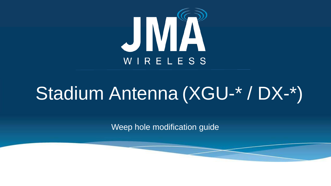

# Stadium Antenna (XGU-\* / DX-\*)

Weep hole modification guide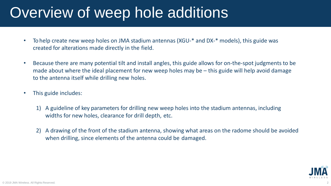## Overview of weep hole additions

- To help create new weep holes on JMA stadium antennas (XGU-\* and DX-\* models), this guide was created for alterations made directly in the field.
- Because there are many potential tilt and install angles, this guide allows for on-the-spot judgments to be made about where the ideal placement for new weep holes may be – this guide will help avoid damage to the antenna itself while drilling new holes.
- This guide includes:
	- 1) A guideline of key parameters for drilling new weep holes into the stadium antennas, including widths for new holes, clearance for drill depth, etc.
	- 2) A drawing of the front of the stadium antenna, showing what areas on the radome should be avoided when drilling, since elements of the antenna could be damaged.

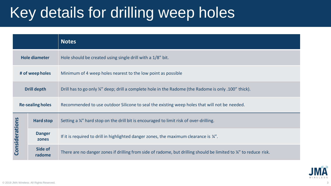# Key details for drilling weep holes

|                         |                        | <b>Notes</b>                                                                                                      |
|-------------------------|------------------------|-------------------------------------------------------------------------------------------------------------------|
| <b>Hole diameter</b>    |                        | Hole should be created using single drill with a 1/8" bit.                                                        |
| # of weep holes         |                        | Minimum of 4 weep holes nearest to the low point as possible                                                      |
| <b>Drill depth</b>      |                        | Drill has to go only ¼" deep; drill a complete hole in the Radome (the Radome is only .100" thick).               |
| <b>Re-sealing holes</b> |                        | Recommended to use outdoor Silicone to seal the existing weep holes that will not be needed.                      |
| Considerations          | Hard stop              | Setting a 1/4" hard stop on the drill bit is encouraged to limit risk of over-drilling.                           |
|                         | <b>Danger</b><br>zones | If it is required to drill in highlighted danger zones, the maximum clearance is $\frac{1}{4}$ .                  |
|                         | Side of<br>radome      | There are no danger zones if drilling from side of radome, but drilling should be limited to 1/4" to reduce risk. |

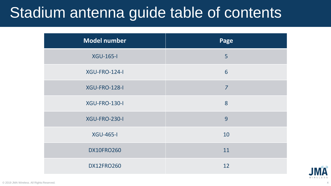# Stadium antenna guide table of contents

| <b>Model number</b>  | Page           |
|----------------------|----------------|
| <b>XGU-165-I</b>     | 5              |
| XGU-FRO-124-I        | 6              |
| XGU-FRO-128-I        | $\overline{7}$ |
| XGU-FRO-130-I        | 8              |
| <b>XGU-FRO-230-I</b> | 9              |
| <b>XGU-465-I</b>     | 10             |
| <b>DX10FRO260</b>    | 11             |
| <b>DX12FRO260</b>    | 12             |

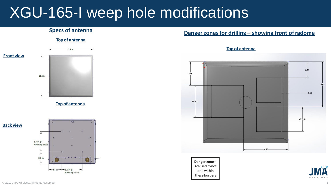## XGU-165-I weep hole modifications

### **Top of antenna**



**Top of antenna**



**Mounting Studs** 

### **Danger zones for drilling – showing front of radome Danger zones for drilling – showing front of radome**

**Top of antenna**



**Danger zone**– Advised tonot drill within these borders

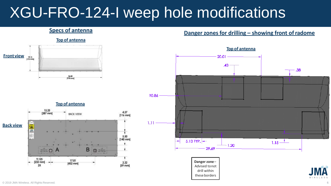# XGU-FRO-124-I weep hole modifications

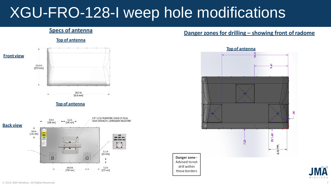# XGU-FRO-128-I weep hole modifications

drill within these borders

### **Specs of antenna Top of antenna Front view** 14.6 in  $[372$  mm] 24.3 in  $[616$  mm] **Top of antenna** 1/4"-12 SS MOUNTING STUDS (4 PLCS)  $9.4 \text{ in}$  [238 mm]  $5.5$  in<br>[140 mm]



### **Danger zones for drilling – showing front of radome**



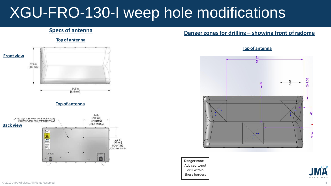# XGU-FRO-130-I weep hole modifications

**Top of antenna**





### **Danger zones for drilling – showing front of radome Danger zones for drilling – showing front of radome**

### **Top of antenna**



**Danger zone**– Advised tonot drill within these borders

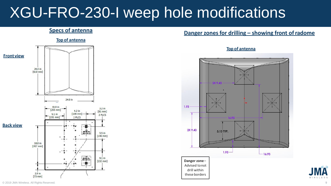# XGU-FRO-230-I weep hole modifications



### **Danger zones for drilling – showing front of radome Danger zones for drilling – showing front of radome**

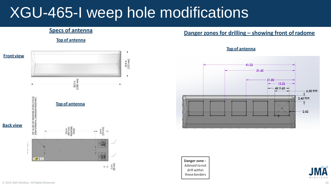## XGU-465-I weep hole modifications

**Top of antenna**



### **Danger zones for drilling – showing front of radome Specs of antenna**



**Top of antenna**

**Danger zone**– Advised tonot drill within these borders

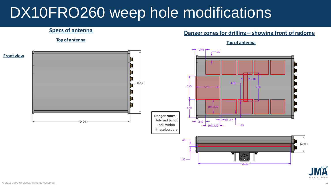## DX10FRO260 weep hole modifications

### **Danger zones for drilling – showing front of radome Danger zones for drilling – showing front of radome**

**Top of antenna**



### **Top of antenna**